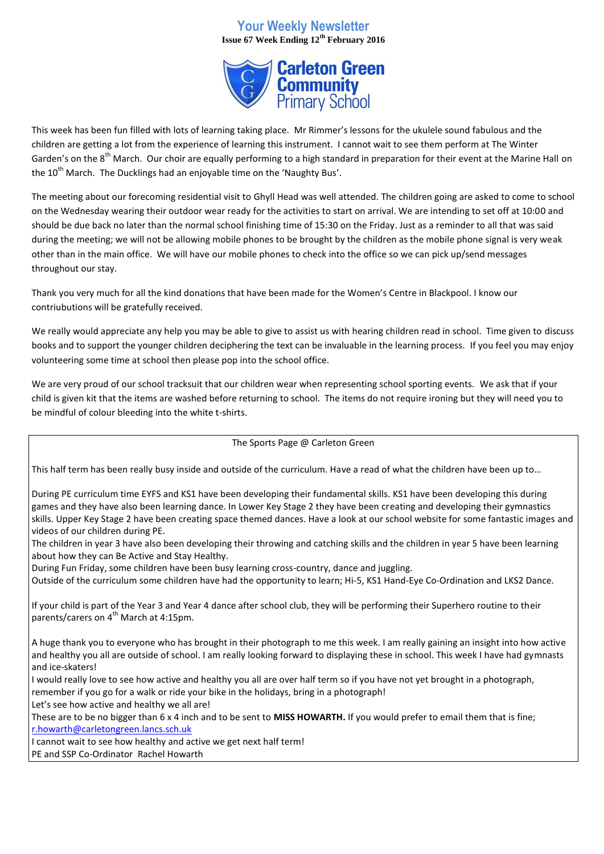## **Your Weekly Newsletter Issue 67 Week Ending 12th February 2016**



This week has been fun filled with lots of learning taking place. Mr Rimmer's lessons for the ukulele sound fabulous and the children are getting a lot from the experience of learning this instrument. I cannot wait to see them perform at The Winter Garden's on the 8<sup>th</sup> March. Our choir are equally performing to a high standard in preparation for their event at the Marine Hall on the 10<sup>th</sup> March. The Ducklings had an enjoyable time on the 'Naughty Bus'.

The meeting about our forecoming residential visit to Ghyll Head was well attended. The children going are asked to come to school on the Wednesday wearing their outdoor wear ready for the activities to start on arrival. We are intending to set off at 10:00 and should be due back no later than the normal school finishing time of 15:30 on the Friday. Just as a reminder to all that was said during the meeting; we will not be allowing mobile phones to be brought by the children as the mobile phone signal is very weak other than in the main office. We will have our mobile phones to check into the office so we can pick up/send messages throughout our stay.

Thank you very much for all the kind donations that have been made for the Women's Centre in Blackpool. I know our contriubutions will be gratefully received.

We really would appreciate any help you may be able to give to assist us with hearing children read in school. Time given to discuss books and to support the younger children deciphering the text can be invaluable in the learning process. If you feel you may enjoy volunteering some time at school then please pop into the school office.

We are very proud of our school tracksuit that our children wear when representing school sporting events. We ask that if your child is given kit that the items are washed before returning to school. The items do not require ironing but they will need you to be mindful of colour bleeding into the white t-shirts.

## The Sports Page @ Carleton Green

This half term has been really busy inside and outside of the curriculum. Have a read of what the children have been up to…

During PE curriculum time EYFS and KS1 have been developing their fundamental skills. KS1 have been developing this during games and they have also been learning dance. In Lower Key Stage 2 they have been creating and developing their gymnastics skills. Upper Key Stage 2 have been creating space themed dances. Have a look at our school website for some fantastic images and videos of our children during PE.

The children in year 3 have also been developing their throwing and catching skills and the children in year 5 have been learning about how they can Be Active and Stay Healthy.

During Fun Friday, some children have been busy learning cross-country, dance and juggling.

Outside of the curriculum some children have had the opportunity to learn; Hi-5, KS1 Hand-Eye Co-Ordination and LKS2 Dance.

If your child is part of the Year 3 and Year 4 dance after school club, they will be performing their Superhero routine to their parents/carers on  $4^{th}$  March at 4:15pm.

A huge thank you to everyone who has brought in their photograph to me this week. I am really gaining an insight into how active and healthy you all are outside of school. I am really looking forward to displaying these in school. This week I have had gymnasts and ice-skaters!

I would really love to see how active and healthy you all are over half term so if you have not yet brought in a photograph, remember if you go for a walk or ride your bike in the holidays, bring in a photograph!

Let's see how active and healthy we all are!

These are to be no bigger than 6 x 4 inch and to be sent to **MISS HOWARTH.** If you would prefer to email them that is fine; [r.howarth@carletongreen.lancs.sch.uk](mailto:r.howarth@carletongreen.lancs.sch.uk)

I cannot wait to see how healthy and active we get next half term!

PE and SSP Co-Ordinator Rachel Howarth